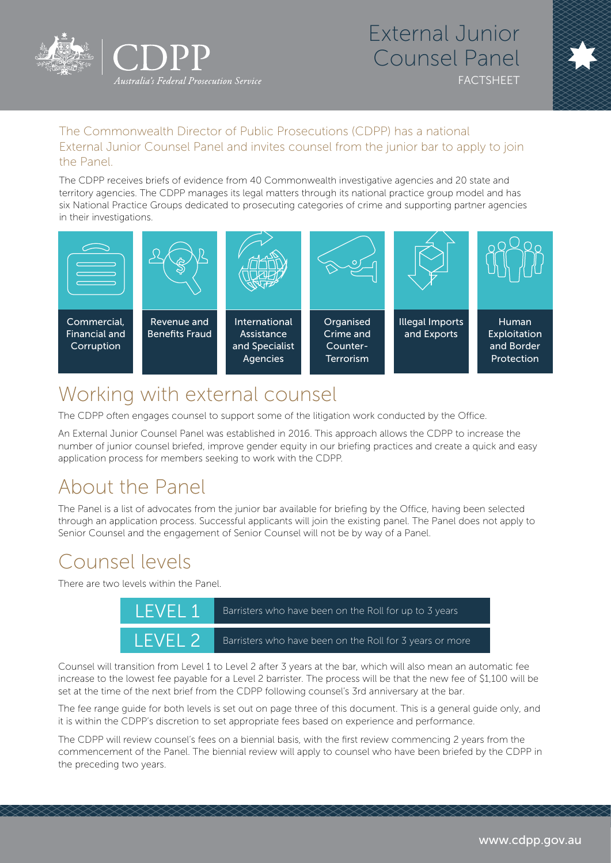

## External Junior Counsel Panel FACTSHEET



### The Commonwealth Director of Public Prosecutions (CDPP) has a national External Junior Counsel Panel and invites counsel from the junior bar to apply to join the Panel.

The CDPP receives briefs of evidence from 40 Commonwealth investigative agencies and 20 state and territory agencies. The CDPP manages its legal matters through its national practice group model and has six National Practice Groups dedicated to prosecuting categories of crime and supporting partner agencies in their investigations.



# Working with external counsel

The CDPP often engages counsel to support some of the litigation work conducted by the Office.

An External Junior Counsel Panel was established in 2016. This approach allows the CDPP to increase the number of junior counsel briefed, improve gender equity in our briefing practices and create a quick and easy application process for members seeking to work with the CDPP.

# About the Panel

The Panel is a list of advocates from the junior bar available for briefing by the Office, having been selected through an application process. Successful applicants will join the existing panel. The Panel does not apply to Senior Counsel and the engagement of Senior Counsel will not be by way of a Panel.

# Counsel levels

There are two levels within the Panel.

| I FVFI 1           | Barristers who have been on the Roll for up to 3 years.  |
|--------------------|----------------------------------------------------------|
| IFVFI <sub>2</sub> | Barristers who have been on the Roll for 3 years or more |

Counsel will transition from Level 1 to Level 2 after 3 years at the bar, which will also mean an automatic fee increase to the lowest fee payable for a Level 2 barrister. The process will be that the new fee of \$1,100 will be set at the time of the next brief from the CDPP following counsel's 3rd anniversary at the bar.

The fee range guide for both levels is set out on page three of this document. This is a general guide only, and it is within the CDPP's discretion to set appropriate fees based on experience and performance.

The CDPP will review counsel's fees on a biennial basis, with the first review commencing 2 years from the commencement of the Panel. The biennial review will apply to counsel who have been briefed by the CDPP in the preceding two years.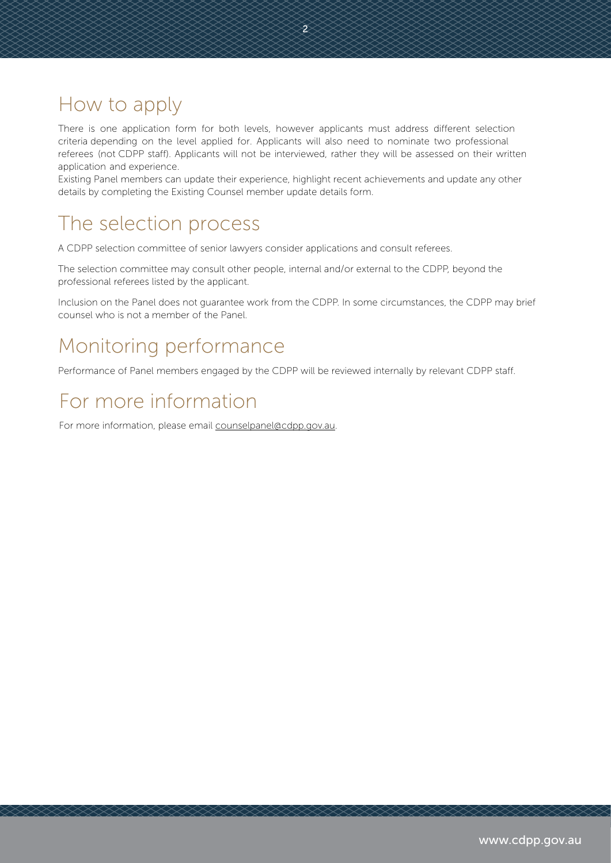# How to apply

There is one application form for both levels, however applicants must address different selection criteria depending on the level applied for. Applicants will also need to nominate two professional referees (not CDPP staff). Applicants will not be interviewed, rather they will be assessed on their written application and experience.

 $\widecheck{2}$ 

Existing Panel members can update their experience, highlight recent achievements and update any other details by completing the Existing Counsel member update details form.

# The selection process

A CDPP selection committee of senior lawyers consider applications and consult referees.

The selection committee may consult other people, internal and/or external to the CDPP, beyond the professional referees listed by the applicant.

Inclusion on the Panel does not guarantee work from the CDPP. In some circumstances, the CDPP may brief counsel who is not a member of the Panel.

# Monitoring performance

Performance of Panel members engaged by the CDPP will be reviewed internally by relevant CDPP staff.

# For more information

For more information, please email counselpanel@cdpp.gov.au.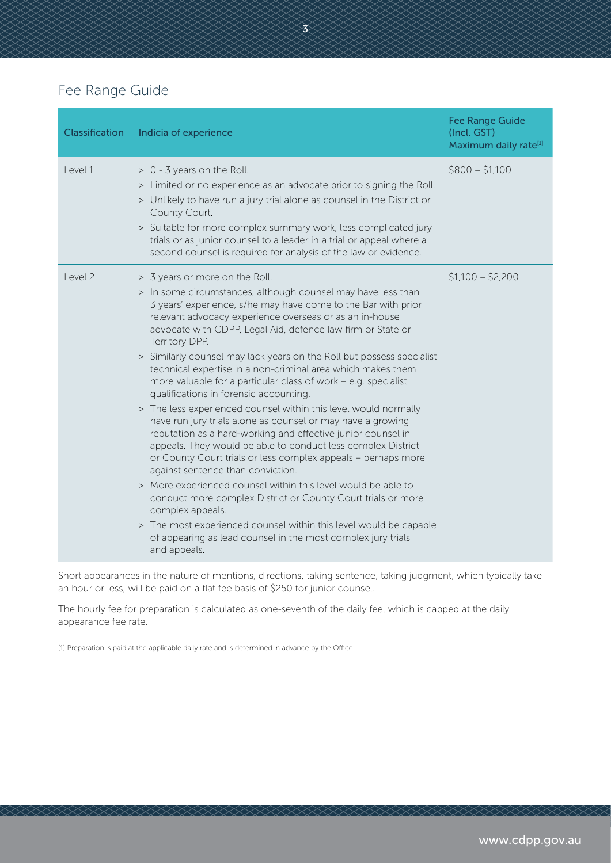## Fee Range Guide

| Classification | Indicia of experience                                                                                                                                                                                                                                                                                                                                                                                                                                                                                                                                                                                                                                                                                                                                                                                                                                                                                                                                                                                                                                                                                                                                                                                                                               | <b>Fee Range Guide</b><br>(Incl. GST)<br>Maximum daily rate <sup>[1]</sup> |
|----------------|-----------------------------------------------------------------------------------------------------------------------------------------------------------------------------------------------------------------------------------------------------------------------------------------------------------------------------------------------------------------------------------------------------------------------------------------------------------------------------------------------------------------------------------------------------------------------------------------------------------------------------------------------------------------------------------------------------------------------------------------------------------------------------------------------------------------------------------------------------------------------------------------------------------------------------------------------------------------------------------------------------------------------------------------------------------------------------------------------------------------------------------------------------------------------------------------------------------------------------------------------------|----------------------------------------------------------------------------|
| Level 1        | > 0 - 3 years on the Roll.<br>> Limited or no experience as an advocate prior to signing the Roll.<br>> Unlikely to have run a jury trial alone as counsel in the District or<br>County Court.<br>> Suitable for more complex summary work, less complicated jury<br>trials or as junior counsel to a leader in a trial or appeal where a<br>second counsel is required for analysis of the law or evidence.                                                                                                                                                                                                                                                                                                                                                                                                                                                                                                                                                                                                                                                                                                                                                                                                                                        | $$800 - $1,100$                                                            |
| Level 2        | > 3 years or more on the Roll.<br>> In some circumstances, although counsel may have less than<br>3 years' experience, s/he may have come to the Bar with prior<br>relevant advocacy experience overseas or as an in-house<br>advocate with CDPP, Legal Aid, defence law firm or State or<br>Territory DPP.<br>> Similarly counsel may lack years on the Roll but possess specialist<br>technical expertise in a non-criminal area which makes them<br>more valuable for a particular class of work $-$ e.g. specialist<br>qualifications in forensic accounting.<br>> The less experienced counsel within this level would normally<br>have run jury trials alone as counsel or may have a growing<br>reputation as a hard-working and effective junior counsel in<br>appeals. They would be able to conduct less complex District<br>or County Court trials or less complex appeals - perhaps more<br>against sentence than conviction.<br>> More experienced counsel within this level would be able to<br>conduct more complex District or County Court trials or more<br>complex appeals.<br>> The most experienced counsel within this level would be capable<br>of appearing as lead counsel in the most complex jury trials<br>and appeals. | $$1,100 - $2,200$                                                          |

 $\bm{\widetilde{3}}$ 

Short appearances in the nature of mentions, directions, taking sentence, taking judgment, which typically take an hour or less, will be paid on a flat fee basis of \$250 for junior counsel.

The hourly fee for preparation is calculated as one-seventh of the daily fee, which is capped at the daily appearance fee rate.

[1] Preparation is paid at the applicable daily rate and is determined in advance by the Office.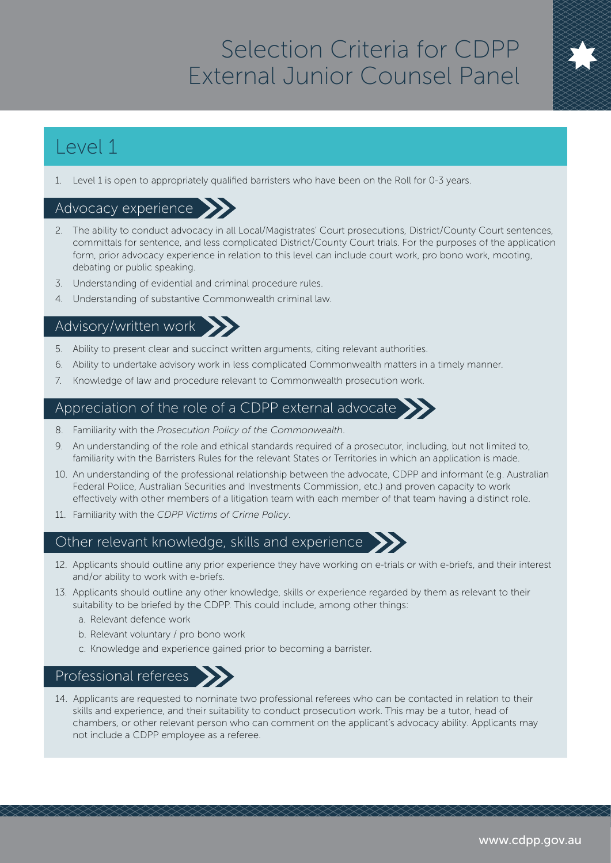# Selection Criteria for CDPP External Junior Counsel Panel

# Level 1

1. Level 1 is open to appropriately qualified barristers who have been on the Roll for 0-3 years.

### Advocacy experience

- 2. The ability to conduct advocacy in all Local/Magistrates' Court prosecutions, District/County Court sentences, committals for sentence, and less complicated District/County Court trials. For the purposes of the application form, prior advocacy experience in relation to this level can include court work, pro bono work, mooting, debating or public speaking.
- 3. Understanding of evidential and criminal procedure rules.
- 4. Understanding of substantive Commonwealth criminal law.

## Advisory/written work

- 5. Ability to present clear and succinct written arguments, citing relevant authorities.
- 6. Ability to undertake advisory work in less complicated Commonwealth matters in a timely manner.
- 7. Knowledge of law and procedure relevant to Commonwealth prosecution work.

#### Appreciation of the role of a CDPP external advocate  $\sum$

- 8. Familiarity with the *Prosecution Policy of the Commonwealth*.
- 9. An understanding of the role and ethical standards required of a prosecutor, including, but not limited to, familiarity with the Barristers Rules for the relevant States or Territories in which an application is made.
- 10. An understanding of the professional relationship between the advocate, CDPP and informant (e.g. Australian Federal Police, Australian Securities and Investments Commission, etc.) and proven capacity to work effectively with other members of a litigation team with each member of that team having a distinct role.
- 11. Familiarity with the *CDPP Victims of Crime Policy*.

#### Other relevant knowledge, skills and experience

- 12. Applicants should outline any prior experience they have working on e-trials or with e-briefs, and their interest and/or ability to work with e-briefs.
- 13. Applicants should outline any other knowledge, skills or experience regarded by them as relevant to their suitability to be briefed by the CDPP. This could include, among other things:
	- a. Relevant defence work
	- b. Relevant voluntary / pro bono work
	- c. Knowledge and experience gained prior to becoming a barrister.

#### Professional referees

14. Applicants are requested to nominate two professional referees who can be contacted in relation to their skills and experience, and their suitability to conduct prosecution work. This may be a tutor, head of chambers, or other relevant person who can comment on the applicant's advocacy ability. Applicants may not include a CDPP employee as a referee.